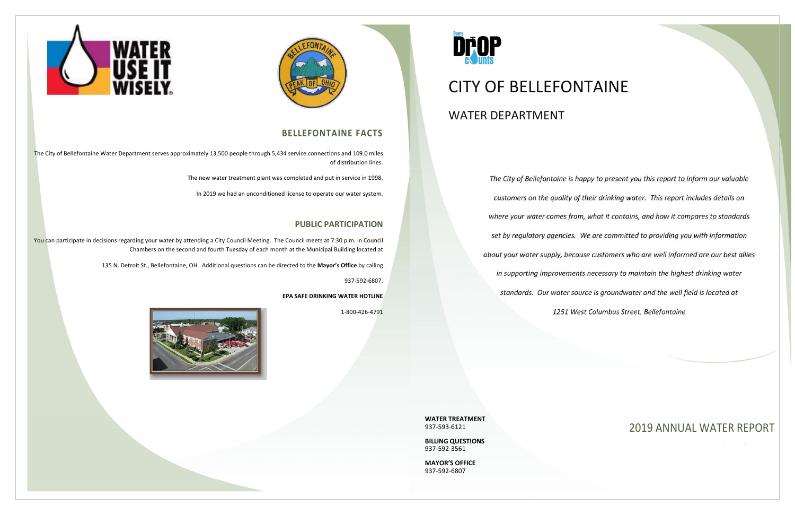*The City of Bellefontaine is happy to present you this report to inform our valuable customers on the quality of their drinking water. This report includes details on where your water comes from, what it contains, and how it compares to standards set by regulatory agencies. We are committed to providing you with information about your water supply, because customers who are well informed are our best allies in supporting improvements necessary to maintain the highest drinking water standards. Our water source is groundwater and the well field is located at 1251 West Columbus Street, Bellefontaine*





The City of Bellefontaine Water Department serves approximately 13,500 people through 5,434 service connections and 109.0 miles of distribution lines.

> **WATER TREATMENT** 937-593-6121

You can participate in decisions regarding your water by attending a City Council Meeting. The Council meets at 7:30 p.m. in Council Chambers on the second and fourth Tuesday of each month at the Municipal Building located at

> **BILLING QUESTIONS** 937-592-3561

**MAYOR'S OFFICE** 937-592-6807



# CITY OF BELLEFONTAINE WATER DEPARTMENT

## **BELLEFONTAINE FACTS**

The new water treatment plant was completed and put in service in 1998.

In 2019 we had an unconditioned license to operate our water system.

## **PUBLIC PARTICIPATION**

135 N. Detroit St., Bellefontaine, OH. Additional questions can be directed to the **Mayor's Office** by calling

937-592-6807.

**EPA SAFE DRINKING WATER HOTLINE**

1-800-426-4791



## 2019 ANNUAL WATER REPORT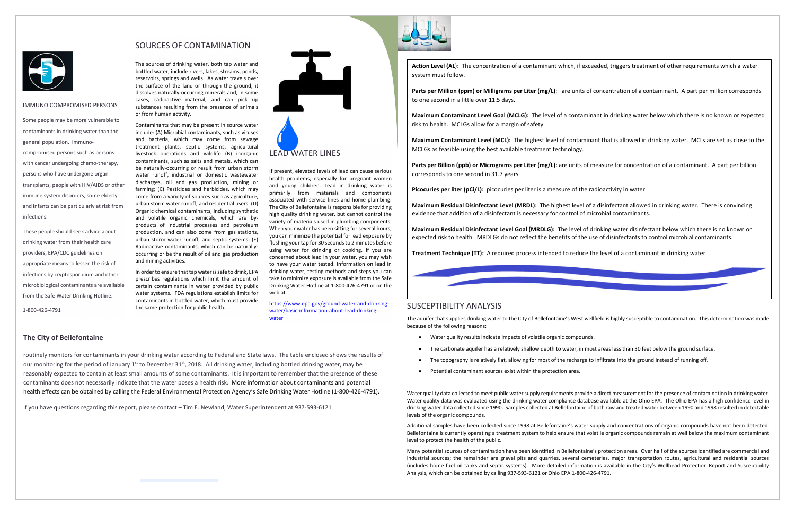## **The City of Bellefontaine**

routinely monitors for contaminants in your drinking water according to Federal and State laws. The table enclosed shows the results of our monitoring for the period of January 1<sup>st</sup> to December 31<sup>st</sup>, 2018. All drinking water, including bottled drinking water, may be reasonably expected to contain at least small amounts of some contaminants. It is important to remember that the presence of these contaminants does not necessarily indicate that the water poses a health risk. More information about contaminants and potential health effects can be obtained by calling the Federal Environmental Protection Agency's Safe Drinking Water Hotline (1-800-426-4791).

Parts per Million (ppm) or Milligrams per Liter (mg/L): are units of concentration of a contaminant. A part per million corresponds to one second in a little over 11.5 days.

If you have questions regarding this report, please contact – Tim E. Newland, Water Superintendent at 937-593-6121



Parts per Billion (ppb) or Micrograms per Liter (mg/L): are units of measure for concentration of a contaminant. A part per billion corresponds to one second in 31.7 years.

**Action Level (AL**): The concentration of a contaminant which, if exceeded, triggers treatment of other requirements which a water system must follow.

**Maximum Contaminant Level Goal (MCLG):** The level of a contaminant in drinking water below which there is no known or expected risk to health. MCLGs allow for a margin of safety.

**Maximum Contaminant Level (MCL):** The highest level of contaminant that is allowed in drinking water. MCLs are set as close to the MCLGs as feasible using the best available treatment technology.

**Picocuries per liter (pCi/L):** picocuries per liter is a measure of the radioactivity in water.

**Maximum Residual Disinfectant Level (MRDL):** The highest level of a disinfectant allowed in drinking water. There is convincing evidence that addition of a disinfectant is necessary for control of microbial contaminants.

**Maximum Residual Disinfectant Level Goal (MRDLG):** The level of drinking water disinfectant below which there is no known or expected risk to health. MRDLGs do not reflect the benefits of the use of disinfectants to control microbial contaminants.

**Treatment Technique (TT):** A required process intended to reduce the level of a contaminant in drinking water.



## SUSCEPTIBILITY ANALYSIS

The aquifer that supplies drinking water to the City of Bellefontaine's West wellfield is highly susceptible to contamination. This determination was made because of the following reasons:

- Water quality results indicate impacts of volatile organic compounds.
- The carbonate aquifer has a relatively shallow depth to water, in most areas less than 30 feet below the ground surface.
- 
- Potential contaminant sources exist within the protection area.

The topography is relatively flat, allowing for most of the recharge to infiltrate into the ground instead of running off.

Water quality data collected to meet public water supply requirements provide a direct measurement for the presence of contamination in drinking water. Water quality data was evaluated using the drinking water compliance database available at the Ohio EPA. The Ohio EPA has a high confidence level in drinking water data collected since 1990. Samples collected at Bellefontaine of both raw and treated water between 1990 and 1998 resulted in detectable levels of the organic compounds.

Additional samples have been collected since 1998 at Bellefontaine's water supply and concentrations of organic compounds have not been detected. Bellefontaine is currently operating a treatment system to help ensure that volatile organic compounds remain at well below the maximum contaminant level to protect the health of the public.

Many potential sources of contamination have been identified in Bellefontaine's protection areas. Over half of the sources identified are commercial and industrial sources; the remainder are gravel pits and quarries, several cemeteries, major transportation routes, agricultural and residential sources (includes home fuel oil tanks and septic systems). More detailed information is available in the City's Wellhead Protection Report and Susceptibility Analysis, which can be obtained by calling 937-593-6121 or Ohio EPA 1-800-426-4791.



### IMMUNO COMPROMISED PERSONS

Some people may be more vulnerable to contaminants in drinking water than the general population. Immunocompromised persons such as persons with cancer undergoing chemo-therapy, persons who have undergone organ transplants, people with HIV/AIDS or other immune system disorders, some elderly and infants can be particularly at risk from infections.

These people should seek advice about drinking water from their health care providers, EPA/CDC guidelines on appropriate means to lessen the risk of infections by cryptosporidium and other microbiological contaminants are available from the Safe Water Drinking Hotline.

1-800-426-4791

## SOURCES OF CONTAMINATION

The sources of drinking water, both tap water and bottled water, include rivers, lakes, streams, ponds, reservoirs, springs and wells. As water travels over the surface of the land or through the ground, it dissolves naturally-occurring minerals and, in some cases, radioactive material, and can pick up substances resulting from the presence of animals or from human activity.

Contaminants that may be present in source water include: (A) Microbial contaminants, such as viruses and bacteria, which may come from sewage treatment plants, septic systems, agricultural livestock operations and wildlife (B) inorganic contaminants, such as salts and metals, which can be naturally-occurring or result from urban storm water runoff, industrial or domestic wastewater discharges, oil and gas production, mining or farming; (C) Pesticides and herbicides, which may come from a variety of sources such as agriculture, urban storm water runoff, and residential users: (D) Organic chemical contaminants, including synthetic and volatile organic chemicals, which are byproducts of industrial processes and petroleum production, and can also come from gas stations, urban storm water runoff, and septic systems; (E) Radioactive contaminants, which can be naturallyoccurring or be the result of oil and gas production and mining activities.

In order to ensure that tap water is safe to drink, EPA prescribes regulations which limit the amount of certain contaminants in water provided by public water systems. FDA regulations establish limits for contaminants in bottled water, which must provide the same protection for public health.



If present, elevated levels of lead can cause serious health problems, especially for pregnant women and young children. Lead in drinking water is primarily from materials and components associated with service lines and home plumbing. The City of Bellefontaine is responsible for providing high quality drinking water, but cannot control the variety of materials used in plumbing components. When your water has been sitting for several hours, you can minimize the potential for lead exposure by flushing your tap for 30 seconds to 2 minutes before using water for drinking or cooking. If you are concerned about lead in your water, you may wish to have your water tested. Information on lead in drinking water, testing methods and steps you can take to minimize exposure is available from the Safe Drinking Water Hotline at 1-800-426-4791 or on the web at

https://www.epa.gov/ground-water-and-drinkingwater/basic-information-about-lead-drinkingwater